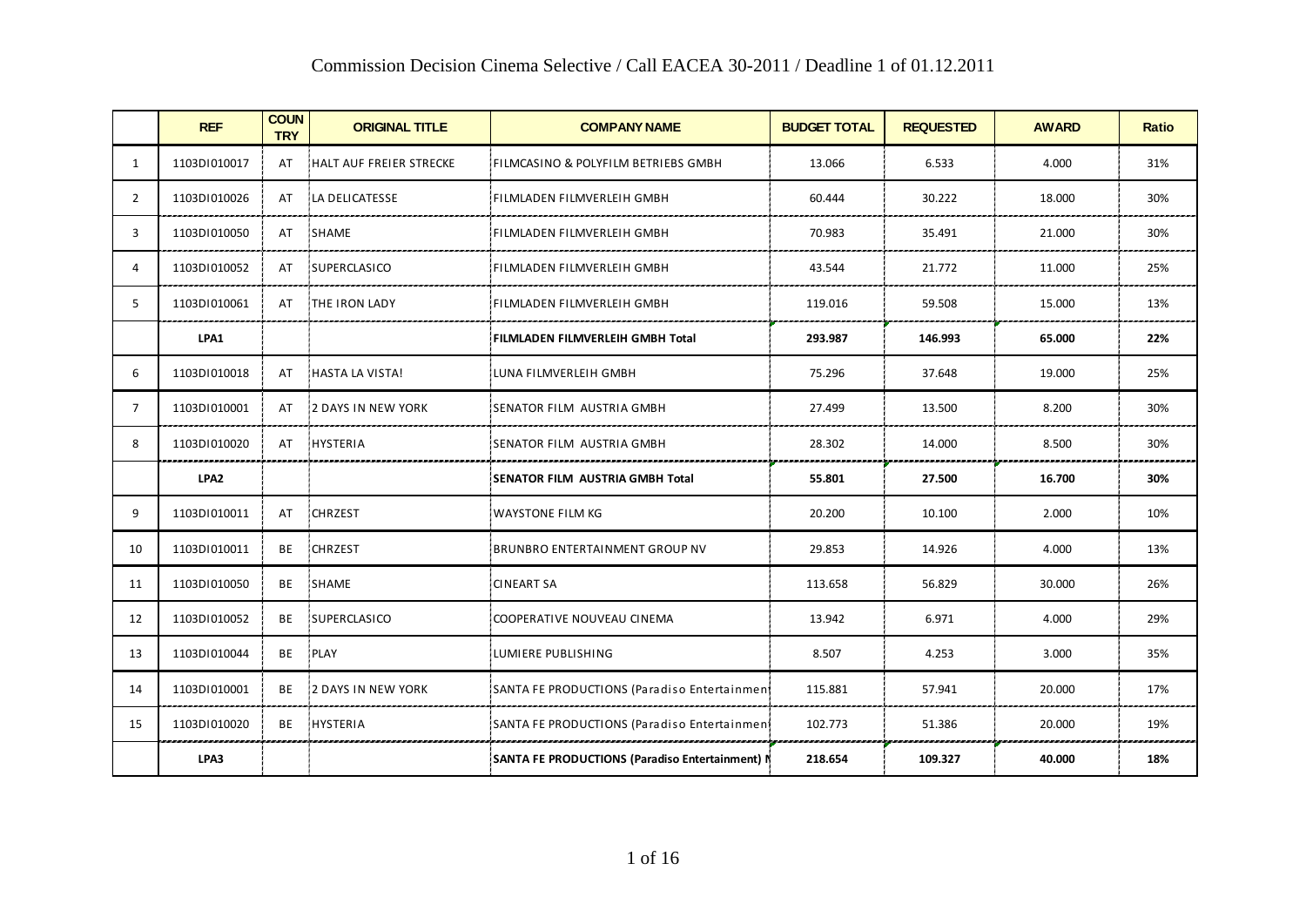|    | <b>REF</b>       | <b>COUN</b><br><b>TRY</b> | <b>ORIGINAL TITLE</b>      | <b>COMPANY NAME</b>                             | <b>BUDGET TOTAL</b> | <b>REQUESTED</b> | <b>AWARD</b> | <b>Ratio</b> |
|----|------------------|---------------------------|----------------------------|-------------------------------------------------|---------------------|------------------|--------------|--------------|
| 1  | 1103DI010017     | AT                        | HALT AUF FREIER STRECKE    | FILMCASINO & POLYFILM BETRIEBS GMBH             | 13.066              | 6.533            | 4.000        | 31%          |
| 2  | 1103DI010026     | AT                        | LA DELICATESSE             | FILMLADEN FILMVERLEIH GMBH                      | 60.444              | 30.222           | 18.000       | 30%          |
| 3  | 1103DI010050     | AT                        | SHAME                      | FILMLADEN FILMVERLEIH GMBH                      | 70.983              | 35.491           | 21.000       | 30%          |
| 4  | 1103D1010052     | AT                        | SUPERCLASICO               | FILMLADEN FILMVERLEIH GMBH                      | 43.544              | 21.772           | 11.000       | 25%          |
| 5  | 1103DI010061     | AT                        | THE IRON LADY              | FILMLADEN FILMVERLEIH GMBH                      | 119.016             | 59.508           | 15.000       | 13%          |
|    | LPA1             |                           |                            | FILMLADEN FILMVERLEIH GMBH Total                | 293.987             | 146.993          | 65.000       | 22%          |
| 6  | 1103DI010018     | AT                        | HASTA LA VISTA!            | LUNA FILMVERLEIH GMBH                           | 75.296              | 37.648           | 19.000       | 25%          |
| 7  | 1103DI010001     | AT                        | <b>12 DAYS IN NEW YORK</b> | SENATOR FILM AUSTRIA GMBH                       | 27.499              | 13.500           | 8.200        | 30%          |
| 8  | 1103DI010020     | AT                        | HYSTERIA                   | SENATOR FILM AUSTRIA GMBH                       | 28.302              | 14.000           | 8.500        | 30%          |
|    | LPA <sub>2</sub> |                           |                            | <b>SENATOR FILM AUSTRIA GMBH Total</b>          | 55.801              | 27.500           | 16.700       | 30%          |
| 9  | 1103DI010011     | AT                        | CHRZEST                    | <b>WAYSTONE FILM KG</b>                         | 20.200              | 10.100           | 2.000        | 10%          |
| 10 | 1103DI010011     | BE                        | CHRZEST                    | <b>BRUNBRO ENTERTAINMENT GROUP NV</b>           | 29.853              | 14.926           | 4.000        | 13%          |
| 11 | 1103DI010050     | BE                        | <b>SHAME</b>               | <b>CINEART SA</b>                               | 113.658             | 56.829           | 30.000       | 26%          |
| 12 | 1103DI010052     | BE                        | SUPERCLASICO               | COOPERATIVE NOUVEAU CINEMA                      | 13.942              | 6.971            | 4.000        | 29%          |
| 13 | 1103DI010044     | BE                        | PLAY                       | LUMIERE PUBLISHING                              | 8.507               | 4.253            | 3.000        | 35%          |
| 14 | 1103DI010001     | BE                        | <b>12 DAYS IN NEW YORK</b> | SANTA FE PRODUCTIONS (Paradiso Entertainmen)    | 115.881             | 57.941           | 20.000       | 17%          |
| 15 | 1103D1010020     |                           | BE HYSTERIA                | SANTA FE PRODUCTIONS (Paradiso Entertainmen)    | 102.773             | 51.386           | 20.000       | 19%          |
|    | LPA3             |                           |                            | SANTA FE PRODUCTIONS (Paradiso Entertainment) N | 218.654             | 109.327          | 40.000       | 18%          |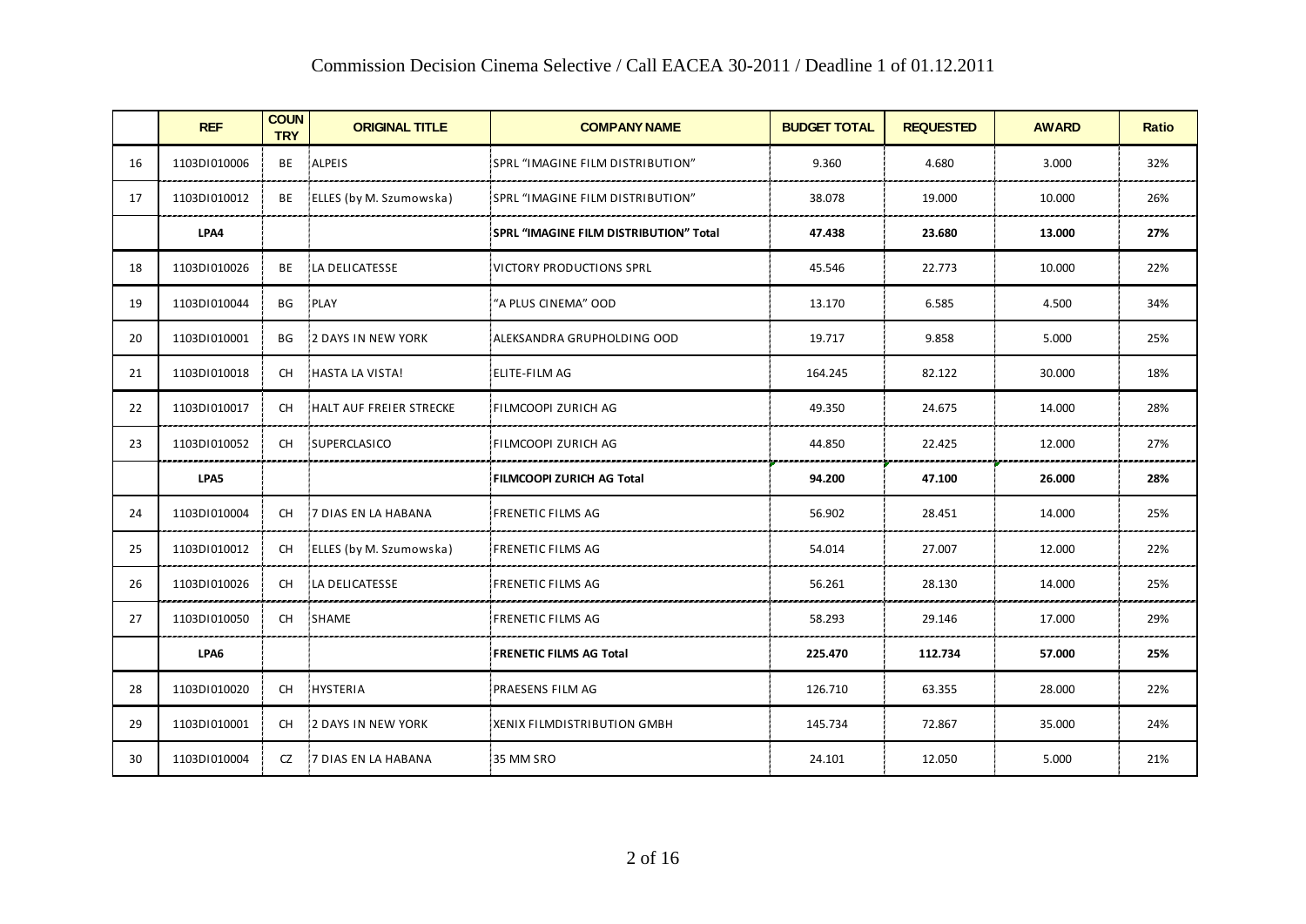|    | COMMISSION DECISION CHIENIA SCIECITOR / CAN EACEA 30-2011 / DEAGNINE 1 OF 01.12.2011 |                           |                             |                                        |                     |                  |              |              |  |
|----|--------------------------------------------------------------------------------------|---------------------------|-----------------------------|----------------------------------------|---------------------|------------------|--------------|--------------|--|
|    | <b>REF</b>                                                                           | <b>COUN</b><br><b>TRY</b> | <b>ORIGINAL TITLE</b>       | <b>COMPANY NAME</b>                    | <b>BUDGET TOTAL</b> | <b>REQUESTED</b> | <b>AWARD</b> | <b>Ratio</b> |  |
| 16 | 1103DI010006                                                                         | BE                        | ALPEIS                      | SPRL "IMAGINE FILM DISTRIBUTION"       | 9.360               | 4.680            | 3.000        | 32%          |  |
| 17 | 1103D1010012                                                                         | BE                        | ELLES (by M. Szumowska)     | SPRL "IMAGINE FILM DISTRIBUTION"       | 38.078              | 19.000           | 10.000       | 26%          |  |
|    | LPA4                                                                                 |                           |                             | SPRL "IMAGINE FILM DISTRIBUTION" Total | 47.438              | 23.680           | 13.000       | 27%          |  |
| 18 | 1103DI010026                                                                         | BE                        | LA DELICATESSE              | VICTORY PRODUCTIONS SPRL               | 45.546              | 22.773           | 10.000       | 22%          |  |
| 19 | 1103DI010044                                                                         | BG.                       | PLAY                        | "A PLUS CINEMA" OOD                    | 13.170              | 6.585            | 4.500        | 34%          |  |
| 20 | 1103D1010001                                                                         | BG                        | 2 DAYS IN NEW YORK          | ALEKSANDRA GRUPHOLDING OOD             | 19.717              | 9.858            | 5.000        | 25%          |  |
| 21 | 1103DI010018                                                                         | CH.                       | HASTA LA VISTA!             | <b>ELITE-FILM AG</b>                   | 164.245             | 82.122           | 30.000       | 18%          |  |
| 22 | 1103DI010017                                                                         | <b>CH</b>                 | HALT AUF FREIER STRECKE     | FILMCOOPI ZURICH AG                    | 49.350              | 24.675           | 14.000       | 28%          |  |
| 23 | 1103D1010052                                                                         | CH.                       | <b>SUPERCLASICO</b>         | FILMCOOPI ZURICH AG                    | 44.850              | 22.425           | 12.000       | 27%          |  |
|    | LPA5                                                                                 |                           |                             | FILMCOOPI ZURICH AG Total              | 94.200              | 47.100           | 26.000       | 28%          |  |
| 24 | 1103DI010004                                                                         | <b>CH</b>                 | 7 DIAS EN LA HABANA         | <b>FRENETIC FILMS AG</b>               | 56.902              | 28.451           | 14.000       | 25%          |  |
| 25 | 1103DI010012                                                                         | CH.                       | ELLES (by M. Szumowska)     | <b>FRENETIC FILMS AG</b>               | 54.014              | 27.007           | 12.000       | 22%          |  |
| 26 | 1103DI010026                                                                         | <b>CH</b>                 | LA DELICATESSE              | <b>FRENETIC FILMS AG</b>               | 56.261              | 28.130           | 14.000       | 25%          |  |
| 27 | 1103DI010050                                                                         | CH.                       | SHAME                       | <b>FRENETIC FILMS AG</b>               | 58.293              | 29.146           | 17.000       | 29%          |  |
|    | LPA6                                                                                 |                           |                             | <b>FRENETIC FILMS AG Total</b>         | 225.470             | 112.734          | 57.000       | 25%          |  |
| 28 | 1103DI010020                                                                         | <b>CH</b>                 | HYSTERIA                    | PRAESENS FILM AG                       | 126.710             | 63.355           | 28.000       | 22%          |  |
| 29 | 1103DI010001                                                                         | <b>CH</b>                 | <b>2 DAYS IN NEW YORK</b>   | XENIX FILMDISTRIBUTION GMBH            | 145.734             | 72.867           | 35.000       | 24%          |  |
| 30 | 1103DI010004                                                                         | CZ.                       | <b>17 DIAS EN LA HABANA</b> | 35 MM SRO                              | 24.101              | 12.050           | 5.000        | 21%          |  |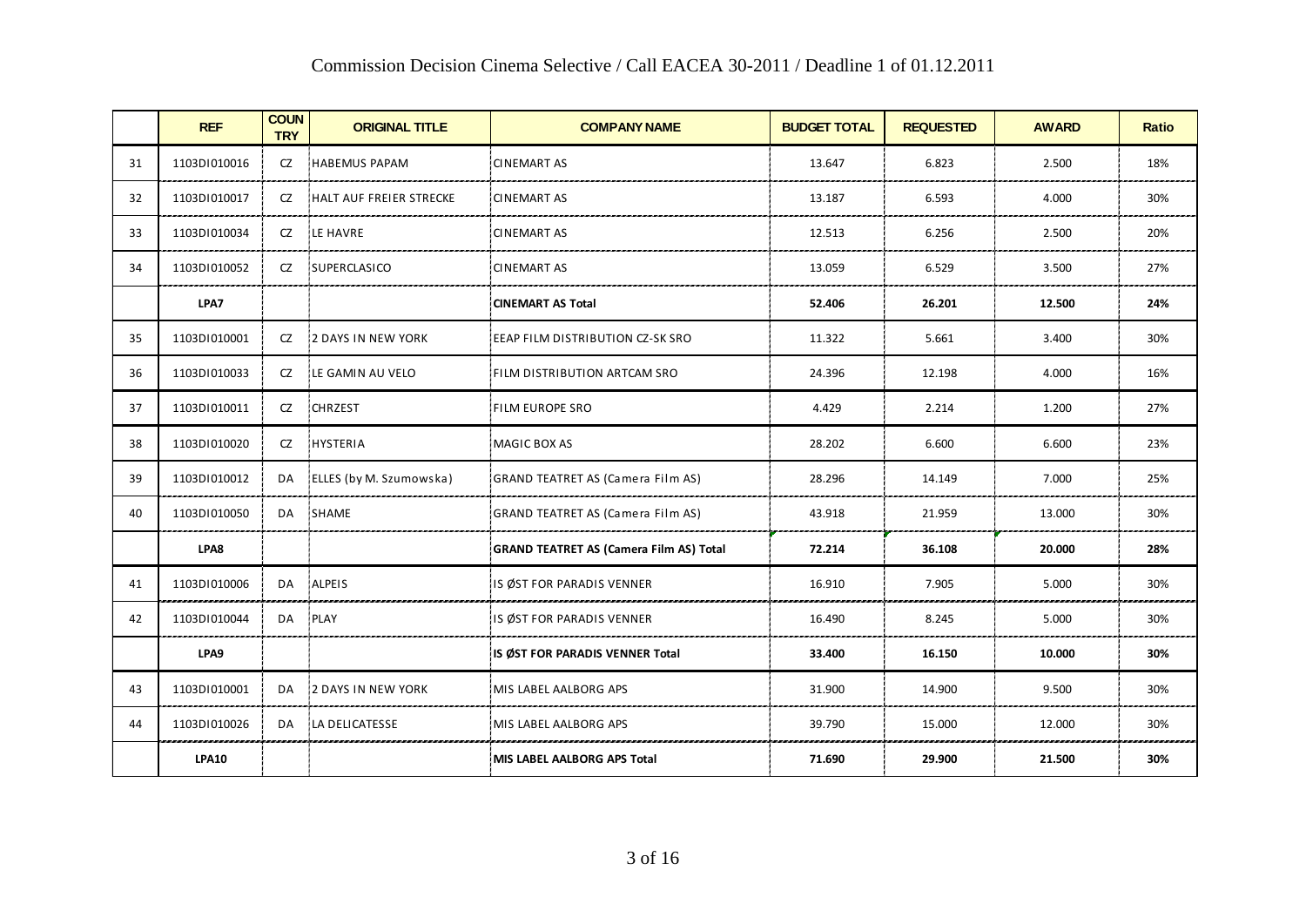|    | <b>REF</b>   | <b>COUN</b><br><b>TRY</b> | <b>ORIGINAL TITLE</b>   | <b>COMPANY NAME</b>                            | <b>BUDGET TOTAL</b> | <b>REQUESTED</b> | <b>AWARD</b> | <b>Ratio</b> |
|----|--------------|---------------------------|-------------------------|------------------------------------------------|---------------------|------------------|--------------|--------------|
| 31 | 1103DI010016 | CZ                        | HABEMUS PAPAM           | <b>CINEMART AS</b>                             | 13.647              | 6.823            | 2.500        | 18%          |
| 32 | 1103DI010017 | CZ                        | HALT AUF FREIER STRECKE | <b>CINEMART AS</b>                             | 13.187              | 6.593            | 4.000        | 30%          |
| 33 | 1103DI010034 | CZ                        | LE HAVRE                | <b>CINEMART AS</b>                             | 12.513              | 6.256            | 2.500        | 20%          |
| 34 | 1103DI010052 | CZ                        | SUPERCLASICO            | <b>CINEMART AS</b>                             | 13.059              | 6.529            | 3.500        | 27%          |
|    | LPA7         |                           |                         | <b>CINEMART AS Total</b>                       | 52.406              | 26.201           | 12.500       | 24%          |
| 35 | 1103DI010001 | CZ                        | 2 DAYS IN NEW YORK      | EEAP FILM DISTRIBUTION CZ-SK SRO               | 11.322              | 5.661            | 3.400        | 30%          |
| 36 | 1103DI010033 | CZ                        | LE GAMIN AU VELO        | FILM DISTRIBUTION ARTCAM SRO                   | 24.396              | 12.198           | 4.000        | 16%          |
| 37 | 1103DI010011 | CZ                        | CHRZEST                 | FILM EUROPE SRO                                | 4.429               | 2.214            | 1.200        | 27%          |
| 38 | 1103DI010020 | CZ                        | HYSTERIA                | MAGIC BOX AS                                   | 28.202              | 6.600            | 6.600        | 23%          |
| 39 | 1103DI010012 | DA                        | ELLES (by M. Szumowska) | GRAND TEATRET AS (Camera Film AS)              | 28.296              | 14.149           | 7.000        | 25%          |
| 40 | 1103DI010050 | DA                        | SHAME                   | <b>GRAND TEATRET AS (Camera Film AS)</b>       | 43.918              | 21.959           | 13.000       | 30%          |
|    | LPA8         |                           |                         | <b>GRAND TEATRET AS (Camera Film AS) Total</b> | 72.214              | 36.108           | 20.000       | 28%          |
| 41 | 1103D1010006 | DA                        | ALPEIS                  | IS ØST FOR PARADIS VENNER                      | 16.910              | 7.905            | 5.000        | 30%          |
| 42 | 1103DI010044 | DA                        | PLAY                    | IS ØST FOR PARADIS VENNER                      | 16.490              | 8.245            | 5.000        | 30%          |
|    | LPA9         |                           |                         | IS ØST FOR PARADIS VENNER Total                | 33.400              | 16.150           | 10.000       | 30%          |
| 43 | 1103DI010001 | DA                        | 2 DAYS IN NEW YORK      | MIS LABEL AALBORG APS                          | 31.900              | 14.900           | 9.500        | 30%          |
| 44 | 1103DI010026 | DA                        | LA DELICATESSE          | MIS LABEL AALBORG APS                          | 39.790              | 15.000           | 12.000       | 30%          |
|    | <b>LPA10</b> |                           |                         | MIS LABEL AALBORG APS Total                    | 71.690              | 29.900           | 21.500       | 30%          |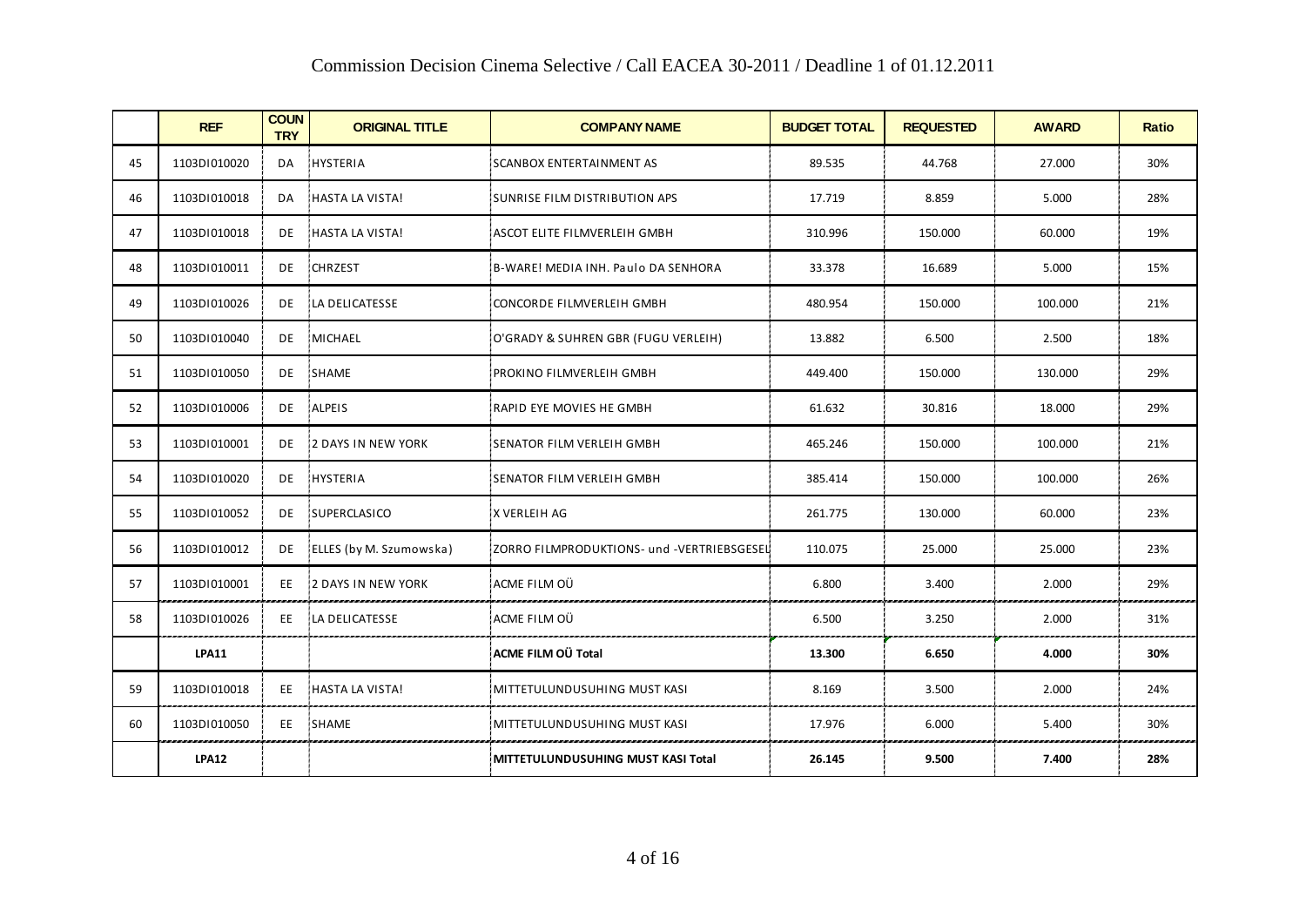|    | COMMISSION DECISION CHIENIA SCIECITVE / CAN EACEA 30-2011 / DEAGHIIE 1 OF 01.12.2011 |                           |                            |                                            |                     |                  |              |              |  |
|----|--------------------------------------------------------------------------------------|---------------------------|----------------------------|--------------------------------------------|---------------------|------------------|--------------|--------------|--|
|    | <b>REF</b>                                                                           | <b>COUN</b><br><b>TRY</b> | <b>ORIGINAL TITLE</b>      | <b>COMPANY NAME</b>                        | <b>BUDGET TOTAL</b> | <b>REQUESTED</b> | <b>AWARD</b> | <b>Ratio</b> |  |
| 45 | 1103DI010020                                                                         | DA                        | HYSTERIA                   | <b>SCANBOX ENTERTAINMENT AS</b>            | 89.535              | 44.768           | 27.000       | 30%          |  |
| 46 | 1103DI010018                                                                         | DA.                       | HASTA LA VISTA!            | SUNRISE FILM DISTRIBUTION APS              | 17.719              | 8.859            | 5.000        | 28%          |  |
| 47 | 1103DI010018                                                                         | DE                        | HASTA LA VISTA!            | ASCOT ELITE FILMVERLEIH GMBH               | 310.996             | 150.000          | 60.000       | 19%          |  |
| 48 | 1103DI010011                                                                         | DE                        | CHRZEST                    | B-WARE! MEDIA INH. Paulo DA SENHORA        | 33.378              | 16.689           | 5.000        | 15%          |  |
| 49 | 1103DI010026                                                                         | DE                        | LA DELICATESSE             | CONCORDE FILMVERLEIH GMBH                  | 480.954             | 150.000          | 100.000      | 21%          |  |
| 50 | 1103DI010040                                                                         | DE                        | MICHAEL                    | O'GRADY & SUHREN GBR (FUGU VERLEIH)        | 13.882              | 6.500            | 2.500        | 18%          |  |
| 51 | 1103DI010050                                                                         | DE                        | SHAME                      | PROKINO FILMVERLEIH GMBH                   | 449.400             | 150.000          | 130.000      | 29%          |  |
| 52 | 1103DI010006                                                                         | DE                        | ALPEIS                     | RAPID EYE MOVIES HE GMBH                   | 61.632              | 30.816           | 18.000       | 29%          |  |
| 53 | 1103DI010001                                                                         | DE                        | <b>12 DAYS IN NEW YORK</b> | SENATOR FILM VERLEIH GMBH                  | 465.246             | 150.000          | 100.000      | 21%          |  |
| 54 | 1103DI010020                                                                         | DE                        | <b>HYSTERIA</b>            | SENATOR FILM VERLEIH GMBH                  | 385.414             | 150.000          | 100.000      | 26%          |  |
| 55 | 1103DI010052                                                                         | DE                        | SUPERCLASICO               | X VERLEIH AG                               | 261.775             | 130.000          | 60.000       | 23%          |  |
| 56 | 1103D1010012                                                                         | DE                        | ELLES (by M. Szumowska)    | ZORRO FILMPRODUKTIONS- und -VERTRIEBSGESEL | 110.075             | 25.000           | 25.000       | 23%          |  |
| 57 | 1103D1010001                                                                         | EE.                       | 2 DAYS IN NEW YORK         | ACME FILM OÜ                               | 6.800               | 3.400            | 2.000        | 29%          |  |
| 58 | 1103DI010026                                                                         | EE.                       | LA DELICATESSE             | ACME FILM OÜ                               | 6.500               | 3.250            | 2.000        | 31%          |  |
|    | <b>LPA11</b>                                                                         |                           |                            | ACME FILM OÜ Total                         | 13.300              | 6.650            | 4.000        | 30%          |  |
| 59 | 1103DI010018                                                                         | EE.                       | HASTA LA VISTA!            | MITTETULUNDUSUHING MUST KASI               | 8.169               | 3.500            | 2.000        | 24%          |  |
| 60 | 1103DI010050                                                                         | EE                        | SHAME                      | MITTETULUNDUSUHING MUST KASI               | 17.976              | 6.000            | 5.400        | 30%          |  |
|    | <b>LPA12</b>                                                                         |                           |                            | MITTETULUNDUSUHING MUST KASI Total         | 26.145              | 9.500            | 7.400        | 28%          |  |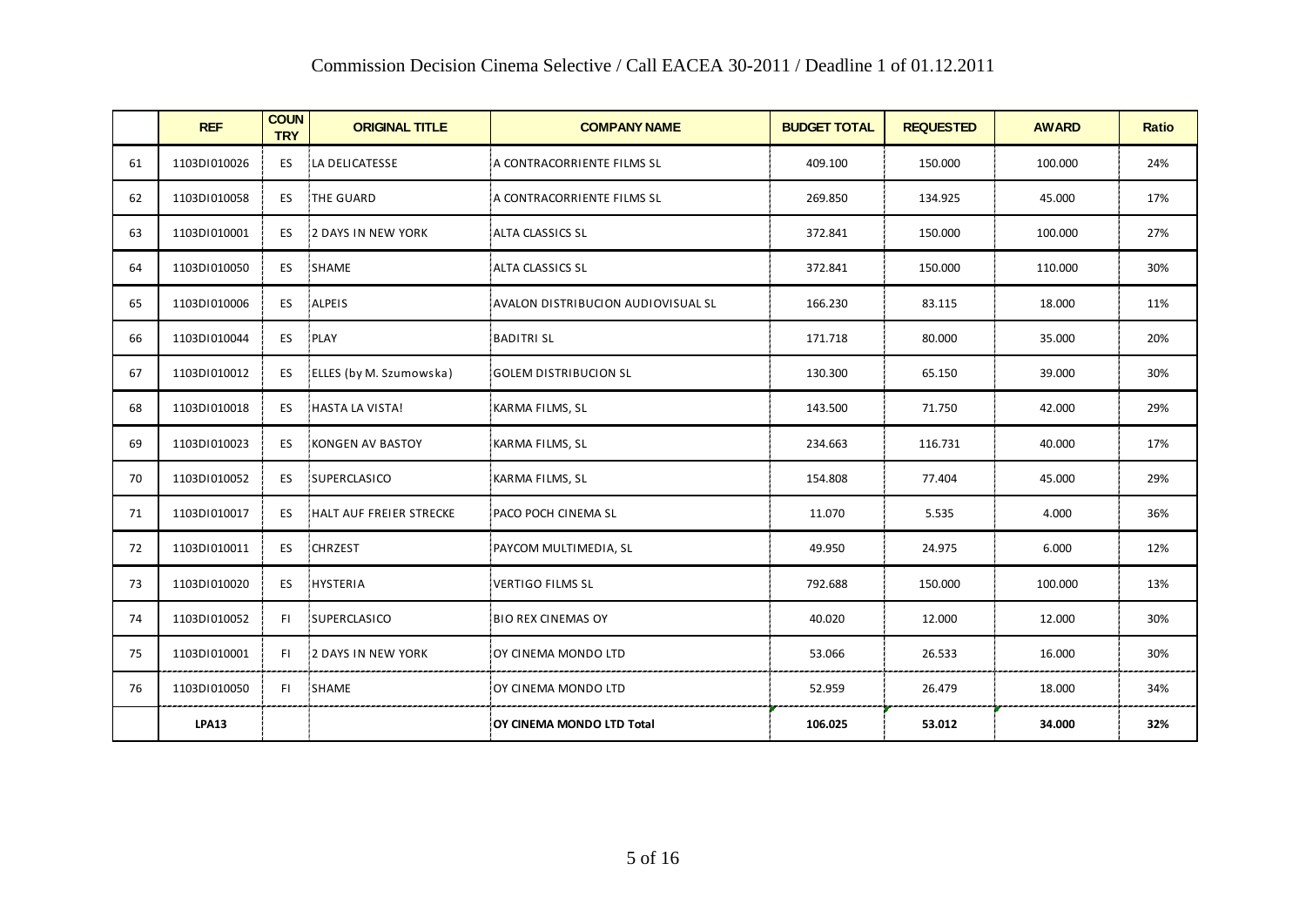|    | <b>REF</b>   | <b>COUN</b><br><b>TRY</b> | <b>ORIGINAL TITLE</b>     | <b>COMPANY NAME</b>                | <b>BUDGET TOTAL</b> | <b>REQUESTED</b> | <b>AWARD</b> | <b>Ratio</b> |
|----|--------------|---------------------------|---------------------------|------------------------------------|---------------------|------------------|--------------|--------------|
| 61 | 1103D1010026 | ES.                       | LA DELICATESSE            | A CONTRACORRIENTE FILMS SL         | 409.100             | 150.000          | 100.000      | 24%          |
| 62 | 1103D1010058 | ES.                       | <b>THE GUARD</b>          | A CONTRACORRIENTE FILMS SL         | 269.850             | 134.925          | 45.000       | 17%          |
| 63 | 1103DI010001 | ES                        | 2 DAYS IN NEW YORK        | <b>ALTA CLASSICS SL</b>            | 372.841             | 150.000          | 100.000      | 27%          |
| 64 | 1103D1010050 | ES.                       | SHAME                     | <b>ALTA CLASSICS SL</b>            | 372.841             | 150.000          | 110.000      | 30%          |
| 65 | 1103DI010006 | ES                        | ALPEIS                    | AVALON DISTRIBUCION AUDIOVISUAL SL | 166.230             | 83.115           | 18.000       | 11%          |
| 66 | 1103DI010044 | ES                        | PLAY                      | <b>BADITRI SL</b>                  | 171.718             | 80.000           | 35.000       | 20%          |
| 67 | 1103DI010012 | ES                        | ELLES (by M. Szumowska)   | <b>GOLEM DISTRIBUCION SL</b>       | 130.300             | 65.150           | 39.000       | 30%          |
| 68 | 1103DI010018 | ES                        | HASTA LA VISTA!           | KARMA FILMS, SL                    | 143.500             | 71.750           | 42.000       | 29%          |
| 69 | 1103DI010023 | ES.                       | KONGEN AV BASTOY          | KARMA FILMS, SL                    | 234.663             | 116.731          | 40.000       | 17%          |
| 70 | 1103DI010052 | ES                        | SUPERCLASICO              | KARMA FILMS, SL                    | 154.808             | 77.404           | 45.000       | 29%          |
| 71 | 1103DI010017 | ES.                       | HALT AUF FREIER STRECKE   | PACO POCH CINEMA SL                | 11.070              | 5.535            | 4.000        | 36%          |
| 72 | 1103DI010011 | ES.                       | CHRZEST                   | PAYCOM MULTIMEDIA, SL              | 49.950              | 24.975           | 6.000        | 12%          |
| 73 | 1103DI010020 | ES                        | HYSTERIA                  | <b>VERTIGO FILMS SL</b>            | 792.688             | 150.000          | 100.000      | 13%          |
| 74 | 1103DI010052 | FL.                       | SUPERCLASICO              | <b>BIO REX CINEMAS OY</b>          | 40.020              | 12.000           | 12.000       | 30%          |
| 75 | 1103D1010001 | FL.                       | <b>2 DAYS IN NEW YORK</b> | OY CINEMA MONDO LTD                | 53.066              | 26.533           | 16.000       | 30%          |
| 76 | 1103DI010050 | FL.                       | SHAME                     | OY CINEMA MONDO LTD                | 52.959              | 26.479           | 18.000       | 34%          |
|    | <b>LPA13</b> |                           |                           | OY CINEMA MONDO LTD Total          | 106.025             | 53.012           | 34.000       | 32%          |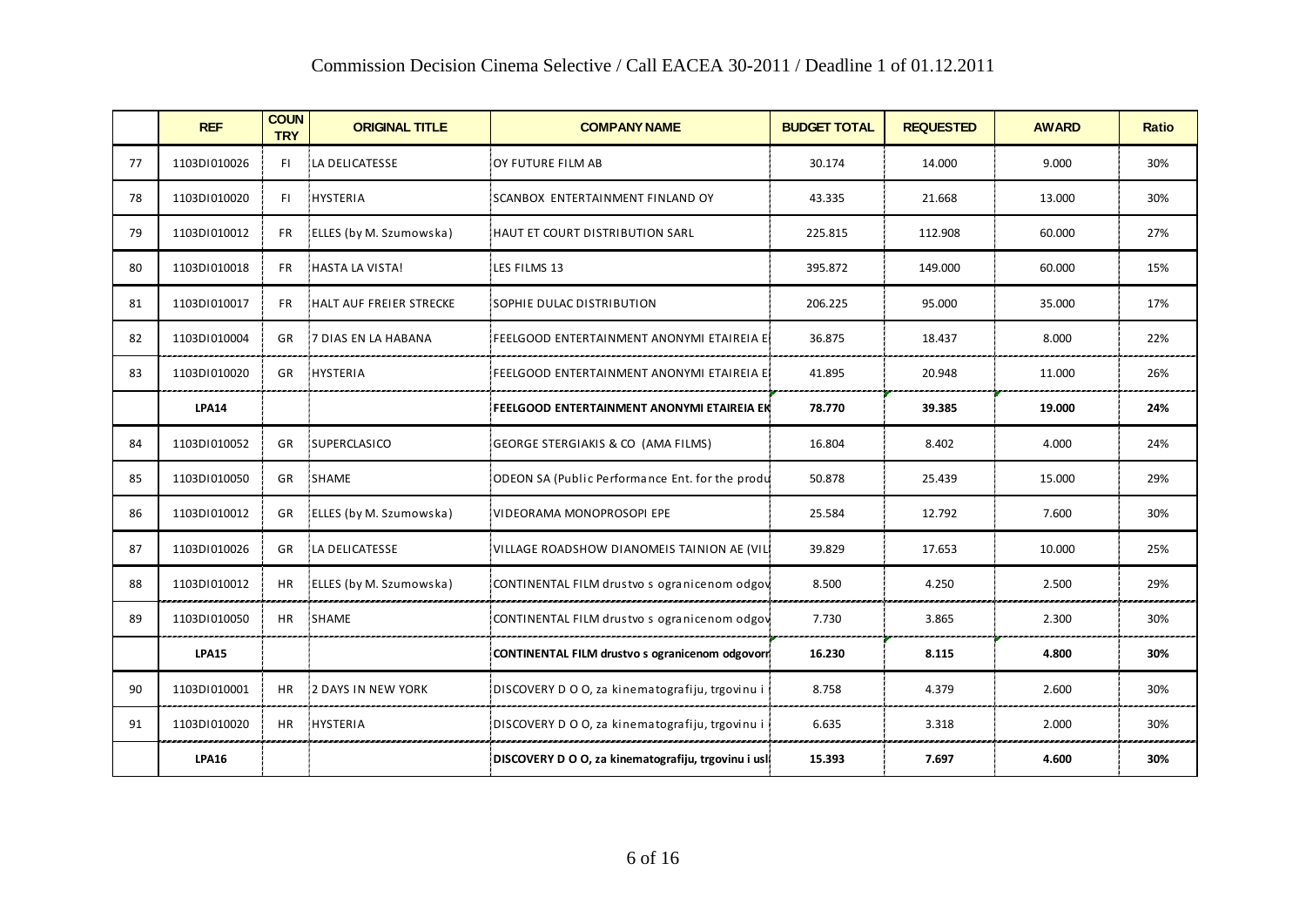|    | COMMISSION DECISION CHIENIA SCIECITOR / CAN EACEA 30-2011 / DEAGNINE 1 OF 01.12.2011 |                           |                         |                                                     |                     |                  |              |              |  |  |
|----|--------------------------------------------------------------------------------------|---------------------------|-------------------------|-----------------------------------------------------|---------------------|------------------|--------------|--------------|--|--|
|    | <b>REF</b>                                                                           | <b>COUN</b><br><b>TRY</b> | <b>ORIGINAL TITLE</b>   | <b>COMPANY NAME</b>                                 | <b>BUDGET TOTAL</b> | <b>REQUESTED</b> | <b>AWARD</b> | <b>Ratio</b> |  |  |
| 77 | 1103DI010026                                                                         | FL.                       | LA DELICATESSE          | OY FUTURE FILM AB                                   | 30.174              | 14.000           | 9.000        | 30%          |  |  |
| 78 | 1103DI010020                                                                         | FL.                       | HYSTERIA                | SCANBOX ENTERTAINMENT FINLAND OY                    | 43.335              | 21.668           | 13.000       | 30%          |  |  |
| 79 | 1103DI010012                                                                         | <b>FR</b>                 | ELLES (by M. Szumowska) | HAUT ET COURT DISTRIBUTION SARL                     | 225.815             | 112.908          | 60.000       | 27%          |  |  |
| 80 | 1103DI010018                                                                         | FR.                       | HASTA LA VISTA!         | LES FILMS 13                                        | 395.872             | 149.000          | 60.000       | 15%          |  |  |
| 81 | 1103DI010017                                                                         | FR.                       | HALT AUF FREIER STRECKE | SOPHIE DULAC DISTRIBUTION                           | 206.225             | 95.000           | 35.000       | 17%          |  |  |
| 82 | 1103DI010004                                                                         | GR                        | 7 DIAS EN LA HABANA     | FEELGOOD ENTERTAINMENT ANONYMI ETAIREIA E!          | 36.875              | 18.437           | 8.000        | 22%          |  |  |
| 83 | 1103DI010020                                                                         | GR                        | HYSTERIA                | FEELGOOD ENTERTAINMENT ANONYMI ETAIREIA E           | 41.895              | 20.948           | 11.000       | 26%          |  |  |
|    | <b>LPA14</b>                                                                         |                           |                         | FEELGOOD ENTERTAINMENT ANONYMI ETAIREIA EK          | 78.770              | 39.385           | 19.000       | 24%          |  |  |
| 84 | 1103D1010052                                                                         | GR                        | SUPERCLASICO            | GEORGE STERGIAKIS & CO (AMA FILMS)                  | 16.804              | 8.402            | 4.000        | 24%          |  |  |
| 85 | 1103DI010050                                                                         | GR                        | SHAME                   | ODEON SA (Public Performance Ent. for the produ     | 50.878              | 25.439           | 15.000       | 29%          |  |  |
| 86 | 1103DI010012                                                                         | GR                        | ELLES (by M. Szumowska) | VIDEORAMA MONOPROSOPI EPE                           | 25.584              | 12.792           | 7.600        | 30%          |  |  |
| 87 | 1103DI010026                                                                         | <b>GR</b>                 | LA DELICATESSE          | VILLAGE ROADSHOW DIANOMEIS TAINION AE (VIL)         | 39.829              | 17.653           | 10.000       | 25%          |  |  |
| 88 | 1103D1010012                                                                         | <b>HR</b>                 | ELLES (by M. Szumowska) | CONTINENTAL FILM drustvo s ogranicenom odgov        | 8.500               | 4.250            | 2.500        | 29%          |  |  |
| 89 | 1103D1010050                                                                         | <b>HR</b>                 | <b>SHAME</b>            | CONTINENTAL FILM drustvo s ogranicenom odgov        | 7.730               | 3.865            | 2.300        | 30%          |  |  |
|    | <b>LPA15</b>                                                                         |                           |                         | CONTINENTAL FILM drustvo s ogranicenom odgovorn     | 16.230              | 8.115            | 4.800        | 30%          |  |  |
| 90 | 1103DI010001                                                                         | HR                        | 2 DAYS IN NEW YORK      | DISCOVERY D O O, za kinematografiju, trgovinu i     | 8.758               | 4.379            | 2.600        | 30%          |  |  |
| 91 | 1103DI010020                                                                         | <b>HR</b>                 | HYSTERIA                | DISCOVERY D O O, za kinematografiju, trgovinu i     | 6.635               | 3.318            | 2.000        | 30%          |  |  |
|    | <b>LPA16</b>                                                                         |                           |                         | DISCOVERY D O O, za kinematografiju, trgovinu i usl | 15.393              | 7.697            | 4.600        | 30%          |  |  |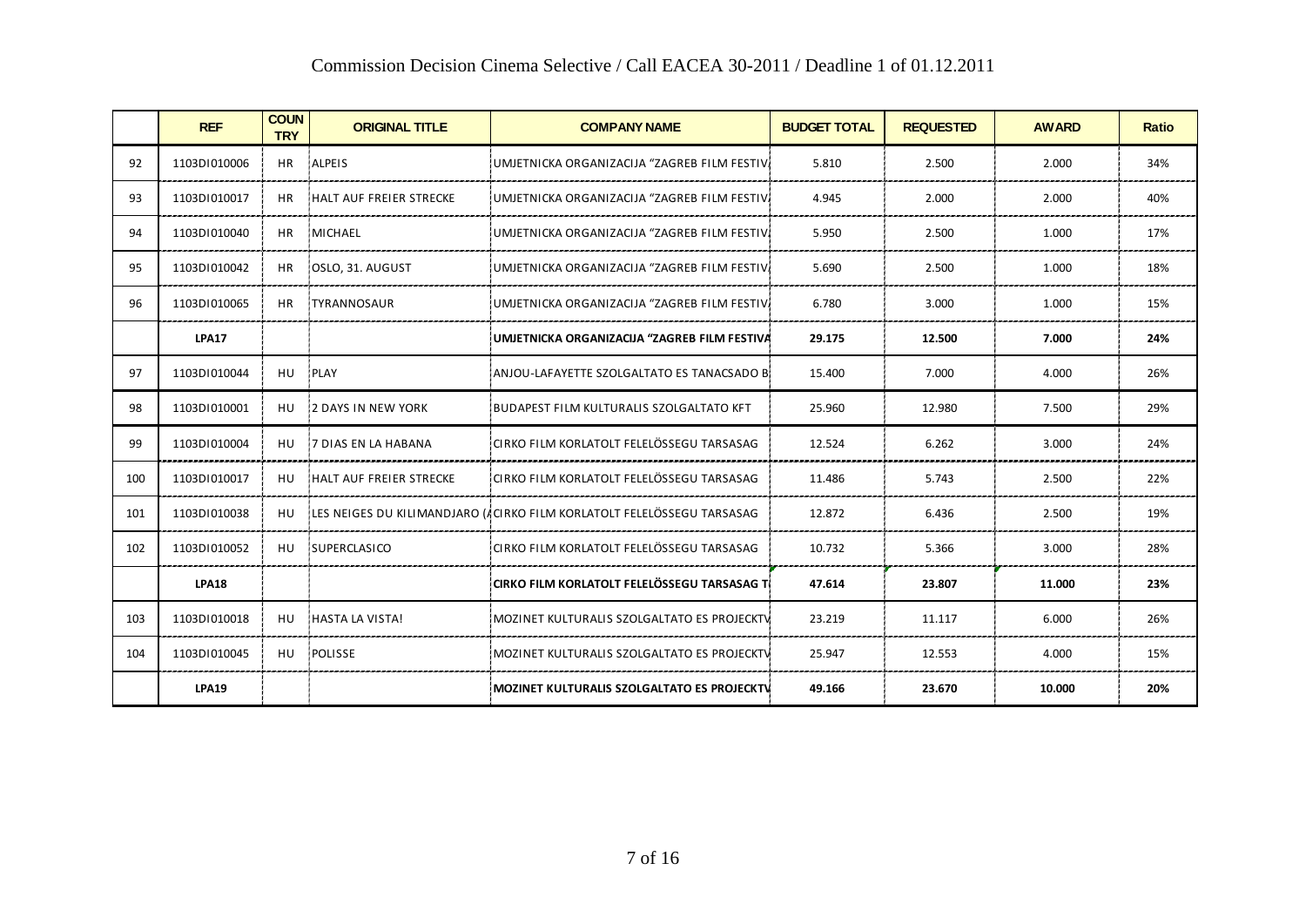|     | COMMISSION DECISION CHIENIA SCIECUVE / CAN EACEA 30-2011 / DEAGHIE 1 OF 01.12.2011 |                           |                            |                                                                         |                     |                  |              |              |  |
|-----|------------------------------------------------------------------------------------|---------------------------|----------------------------|-------------------------------------------------------------------------|---------------------|------------------|--------------|--------------|--|
|     | <b>REF</b>                                                                         | <b>COUN</b><br><b>TRY</b> | <b>ORIGINAL TITLE</b>      | <b>COMPANY NAME</b>                                                     | <b>BUDGET TOTAL</b> | <b>REQUESTED</b> | <b>AWARD</b> | <b>Ratio</b> |  |
| 92  | 1103DI010006                                                                       | <b>HR</b>                 | ALPEIS                     | UMJETNICKA ORGANIZACIJA "ZAGREB FILM FESTIV.                            | 5.810               | 2.500            | 2.000        | 34%          |  |
| 93  | 1103DI010017                                                                       | HR.                       | HALT AUF FREIER STRECKE    | UMJETNICKA ORGANIZACIJA "ZAGREB FILM FESTIV.                            | 4.945               | 2.000            | 2.000        | 40%          |  |
| 94  | 1103D1010040                                                                       | HR.                       | MICHAEL                    | UMJETNICKA ORGANIZACIJA "ZAGREB FILM FESTIV.                            | 5.950               | 2.500            | 1.000        | 17%          |  |
| 95  | 1103D1010042                                                                       | HR.                       | OSLO, 31. AUGUST!          | UMJETNICKA ORGANIZACIJA "ZAGREB FILM FESTIV.                            | 5.690               | 2.500            | 1.000        | 18%          |  |
| 96  | 1103D1010065                                                                       | <b>HR</b>                 | <b>TYRANNOSAUR</b>         | UMJETNICKA ORGANIZACIJA "ZAGREB FILM FESTIV.                            | 6.780               | 3.000            | 1.000        | 15%          |  |
|     | <b>LPA17</b>                                                                       |                           |                            | UMJETNICKA ORGANIZACIJA "ZAGREB FILM FESTIVA                            | 29.175              | 12.500           | 7.000        | 24%          |  |
| 97  | 1103D1010044                                                                       | HU                        | <b>PLAY</b>                | ANJOU-LAFAYETTE SZOLGALTATO ES TANACSADO BI                             | 15.400              | 7.000            | 4.000        | 26%          |  |
| 98  | 1103D1010001                                                                       | HU                        | <b>12 DAYS IN NEW YORK</b> | BUDAPEST FILM KULTURALIS SZOLGALTATO KFT                                | 25.960              | 12.980           | 7.500        | 29%          |  |
| 99  | 1103D1010004                                                                       | HU                        | I7 DIAS EN LA HABANA       | CIRKO FILM KORLATOLT FELELÖSSEGU TARSASAG                               | 12.524              | 6.262            | 3.000        | 24%          |  |
| 100 | 1103DI010017                                                                       | HU                        | HALT AUF FREIER STRECKE    | CIRKO FILM KORLATOLT FELELÖSSEGU TARSASAG                               | 11.486              | 5.743            | 2.500        | 22%          |  |
| 101 | 1103D1010038                                                                       | HU                        |                            | ILES NEIGES DU KILIMANDJARO (ÆCIRKO FILM KORLATOLT FELELÖSSEGU TARSASAG | 12.872              | 6.436            | 2.500        | 19%          |  |
| 102 | 1103DI010052                                                                       | <b>HU</b>                 | SUPERCLASICO               | CIRKO FILM KORLATOLT FELELÖSSEGU TARSASAG                               | 10.732              | 5.366            | 3.000        | 28%          |  |
|     | <b>LPA18</b>                                                                       |                           |                            | CIRKO FILM KORLATOLT FELELÖSSEGU TARSASAG T                             | 47.614              | 23.807           | 11.000       | 23%          |  |
| 103 | 1103DI010018                                                                       | HU                        | HASTA LA VISTA!            | MOZINET KULTURALIS SZOLGALTATO ES PROJECKTV                             | 23.219              | 11.117           | 6.000        | 26%          |  |
| 104 | 1103D1010045                                                                       | HU                        | POLISSE                    | MOZINET KULTURALIS SZOLGALTATO ES PROJECKTV                             | 25.947              | 12.553           | 4.000        | 15%          |  |
|     | <b>LPA19</b>                                                                       |                           |                            | MOZINET KULTURALIS SZOLGALTATO ES PROJECKTV                             | 49.166              | 23.670           | 10.000       | 20%          |  |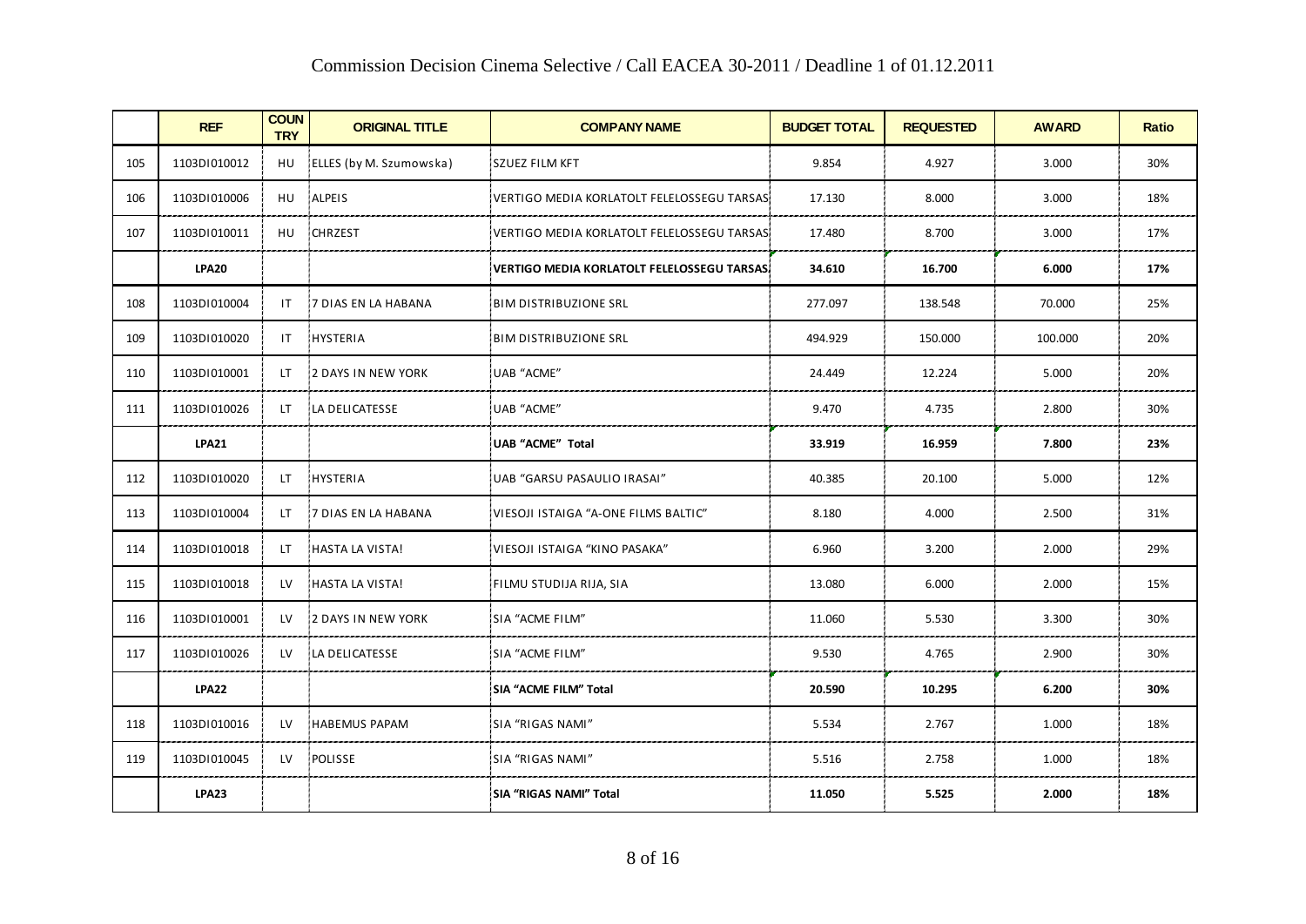|     | COMMISSION DECISION CHIENIA SCIECITVE / CAN EACEA 30-2011 / DEAGNINE 1 OF 01.12.2011 |                           |                             |                                             |                     |                  |              |              |  |
|-----|--------------------------------------------------------------------------------------|---------------------------|-----------------------------|---------------------------------------------|---------------------|------------------|--------------|--------------|--|
|     | <b>REF</b>                                                                           | <b>COUN</b><br><b>TRY</b> | <b>ORIGINAL TITLE</b>       | <b>COMPANY NAME</b>                         | <b>BUDGET TOTAL</b> | <b>REQUESTED</b> | <b>AWARD</b> | <b>Ratio</b> |  |
| 105 | 1103DI010012                                                                         | HU                        | ELLES (by M. Szumowska)     | <b>SZUEZ FILM KFT</b>                       | 9.854               | 4.927            | 3.000        | 30%          |  |
| 106 | 1103DI010006                                                                         | HU                        | ALPEIS                      | VERTIGO MEDIA KORLATOLT FELELOSSEGU TARSAS  | 17.130              | 8.000            | 3.000        | 18%          |  |
| 107 | 1103DI010011                                                                         | HU                        | CHRZEST                     | VERTIGO MEDIA KORLATOLT FELELOSSEGU TARSAS  | 17.480              | 8.700            | 3.000        | 17%          |  |
|     | <b>LPA20</b>                                                                         |                           |                             | VERTIGO MEDIA KORLATOLT FELELOSSEGU TARSAS. | 34.610              | 16.700           | 6.000        | 17%          |  |
| 108 | 1103DI010004                                                                         | IT.                       | 7 DIAS EN LA HABANA         | <b>BIM DISTRIBUZIONE SRL</b>                | 277.097             | 138.548          | 70.000       | 25%          |  |
| 109 | 1103DI010020                                                                         | IT.                       | HYSTERIA                    | <b>BIM DISTRIBUZIONE SRL</b>                | 494.929             | 150.000          | 100.000      | 20%          |  |
| 110 | 1103DI010001                                                                         | LT.                       | 2 DAYS IN NEW YORK          | <b>UAB "ACME"</b>                           | 24.449              | 12.224           | 5.000        | 20%          |  |
| 111 | 1103DI010026                                                                         | LT.                       | LA DELICATESSE              | UAB "ACME"                                  | 9.470               | 4.735            | 2.800        | 30%          |  |
|     | <b>LPA21</b>                                                                         |                           |                             | UAB "ACME" Total                            | 33.919              | 16.959           | 7.800        | 23%          |  |
| 112 | 1103D1010020                                                                         | LT.                       | HYSTERIA                    | UAB "GARSU PASAULIO IRASAI"                 | 40.385              | 20.100           | 5.000        | 12%          |  |
| 113 | 1103DI010004                                                                         | LT.                       | <b>17 DIAS EN LA HABANA</b> | VIESOJI ISTAIGA "A-ONE FILMS BALTIC"        | 8.180               | 4.000            | 2.500        | 31%          |  |
| 114 | 1103DI010018                                                                         | LT.                       | HASTA LA VISTA!             | VIESOJI ISTAIGA "KINO PASAKA"               | 6.960               | 3.200            | 2.000        | 29%          |  |
| 115 | 1103DI010018                                                                         | LV.                       | HASTA LA VISTA!             | FILMU STUDIJA RIJA, SIA                     | 13.080              | 6.000            | 2.000        | 15%          |  |
| 116 | 1103DI010001                                                                         | LV.                       | 2 DAYS IN NEW YORK          | SIA "ACME FILM"                             | 11.060              | 5.530            | 3.300        | 30%          |  |
| 117 | 1103DI010026                                                                         | LV.                       | LA DELICATESSE              | SIA "ACME FILM"                             | 9.530               | 4.765            | 2.900        | 30%          |  |
|     | <b>LPA22</b>                                                                         |                           |                             | SIA "ACME FILM" Total                       | 20.590              | 10.295           | 6.200        | 30%          |  |
| 118 | 1103D1010016                                                                         | <b>LV</b>                 | HABEMUS PAPAM               | SIA "RIGAS NAMI"                            | 5.534               | 2.767            | 1.000        | 18%          |  |
| 119 | 1103D1010045                                                                         | LV                        | POLISSE                     | <b>SIA "RIGAS NAMI"</b>                     | 5.516               | 2.758            | 1.000        | 18%          |  |
|     | <b>LPA23</b>                                                                         |                           |                             | SIA "RIGAS NAMI" Total                      | 11.050              | 5.525            | 2.000        | 18%          |  |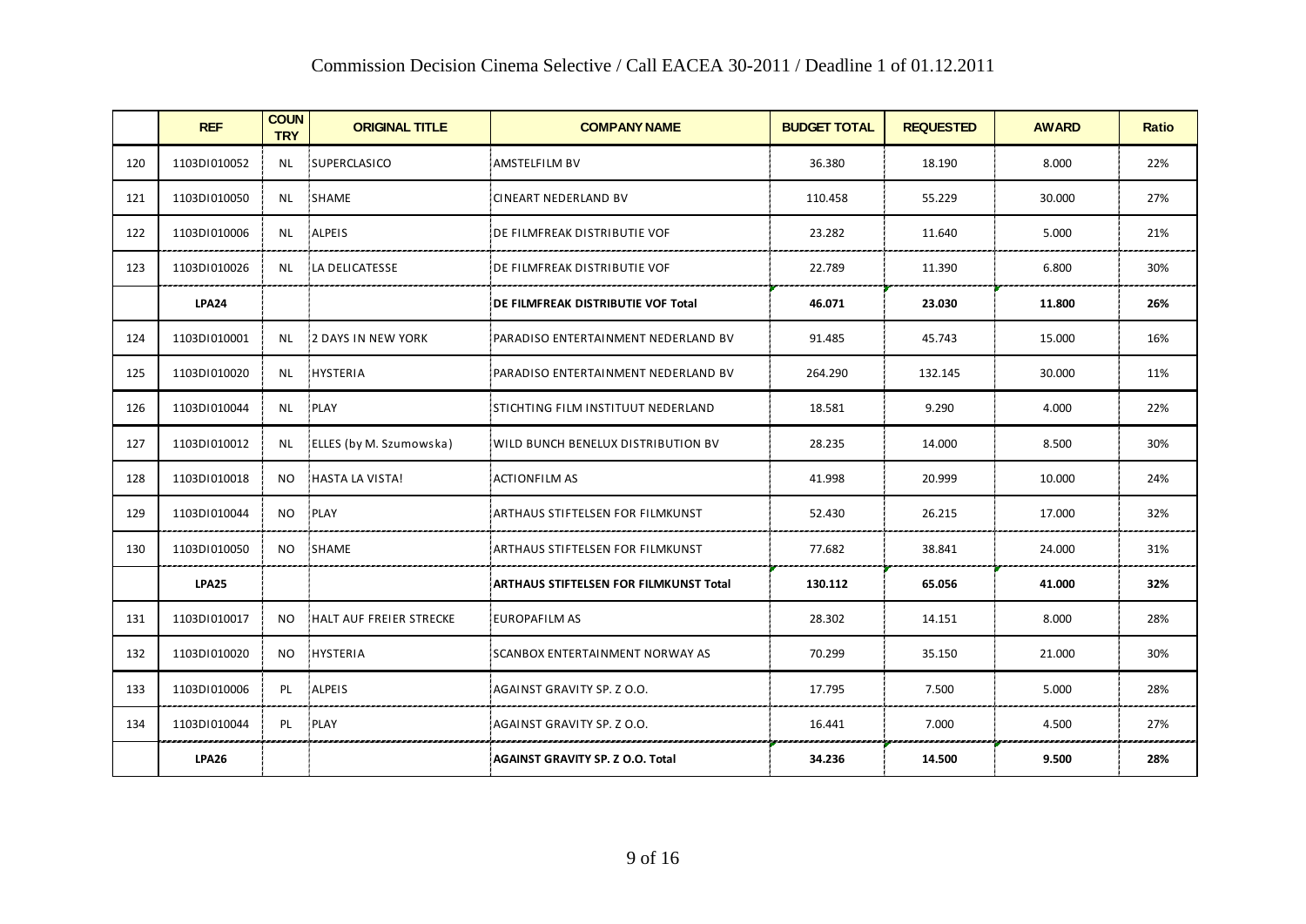|     | COMMISSION DECISION CHIENIA SCIECITVE / CAN EACEA 30-2011 / DEAGNINE 1 OF 01.12.2011 |                           |                         |                                               |                     |                  |              |              |  |
|-----|--------------------------------------------------------------------------------------|---------------------------|-------------------------|-----------------------------------------------|---------------------|------------------|--------------|--------------|--|
|     | <b>REF</b>                                                                           | <b>COUN</b><br><b>TRY</b> | <b>ORIGINAL TITLE</b>   | <b>COMPANY NAME</b>                           | <b>BUDGET TOTAL</b> | <b>REQUESTED</b> | <b>AWARD</b> | <b>Ratio</b> |  |
| 120 | 1103DI010052                                                                         | <b>NL</b>                 | SUPERCLASICO            | <b>AMSTELFILM BV</b>                          | 36.380              | 18.190           | 8.000        | 22%          |  |
| 121 | 1103DI010050                                                                         | NL.                       | SHAME                   | <b>CINEART NEDERLAND BV</b>                   | 110.458             | 55.229           | 30.000       | 27%          |  |
| 122 | 1103D1010006                                                                         | NL                        | ALPEIS                  | DE FILMFREAK DISTRIBUTIE VOF                  | 23.282              | 11.640           | 5.000        | 21%          |  |
| 123 | 1103DI010026                                                                         | NL.                       | LA DELICATESSE          | DE FILMFREAK DISTRIBUTIE VOF                  | 22.789              | 11.390           | 6.800        | 30%          |  |
|     | <b>LPA24</b>                                                                         |                           |                         | DE FILMFREAK DISTRIBUTIE VOF Total            | 46.071              | 23.030           | 11.800       | 26%          |  |
| 124 | 1103D1010001                                                                         | <b>NL</b>                 | 2 DAYS IN NEW YORK      | PARADISO ENTERTAINMENT NEDERLAND BV           | 91.485              | 45.743           | 15.000       | 16%          |  |
| 125 | 1103DI010020                                                                         | NL.                       | HYSTERIA                | PARADISO ENTERTAINMENT NEDERLAND BV           | 264.290             | 132.145          | 30.000       | 11%          |  |
| 126 | 1103DI010044                                                                         | NL.                       | PLAY                    | STICHTING FILM INSTITUUT NEDERLAND            | 18.581              | 9.290            | 4.000        | 22%          |  |
| 127 | 1103DI010012                                                                         | NL                        | ELLES (by M. Szumowska) | WILD BUNCH BENELUX DISTRIBUTION BV            | 28.235              | 14.000           | 8.500        | 30%          |  |
| 128 | 1103D1010018                                                                         | NO.                       | HASTA LA VISTA!         | <b>ACTIONFILM AS</b>                          | 41.998              | 20.999           | 10.000       | 24%          |  |
| 129 | 1103DI010044                                                                         | NO.                       | PLAY                    | ARTHAUS STIFTELSEN FOR FILMKUNST              | 52.430              | 26.215           | 17.000       | 32%          |  |
| 130 | 1103D1010050                                                                         | NO.                       | <b>SHAME</b>            | ARTHAUS STIFTELSEN FOR FILMKUNST              | 77.682              | 38.841           | 24.000       | 31%          |  |
|     | <b>LPA25</b>                                                                         |                           |                         | <b>ARTHAUS STIFTELSEN FOR FILMKUNST Total</b> | 130.112             | 65.056           | 41.000       | 32%          |  |
| 131 | 1103DI010017                                                                         | NO.                       | HALT AUF FREIER STRECKE | <b>EUROPAFILM AS</b>                          | 28.302              | 14.151           | 8.000        | 28%          |  |
| 132 | 1103DI010020                                                                         | NO.                       | <b>HYSTERIA</b>         | SCANBOX ENTERTAINMENT NORWAY AS               | 70.299              | 35.150           | 21.000       | 30%          |  |
| 133 | 1103DI010006                                                                         | PL.                       | ALPEIS                  | AGAINST GRAVITY SP. Z O.O.                    | 17.795              | 7.500            | 5.000        | 28%          |  |
| 134 | 1103DI010044                                                                         | PL                        | PLAY                    | AGAINST GRAVITY SP. Z O.O.                    | 16.441              | 7.000            | 4.500        | 27%          |  |
|     | <b>LPA26</b>                                                                         |                           |                         | <b>AGAINST GRAVITY SP. Z O.O. Total</b>       | 34.236              | 14.500           | 9.500        | 28%          |  |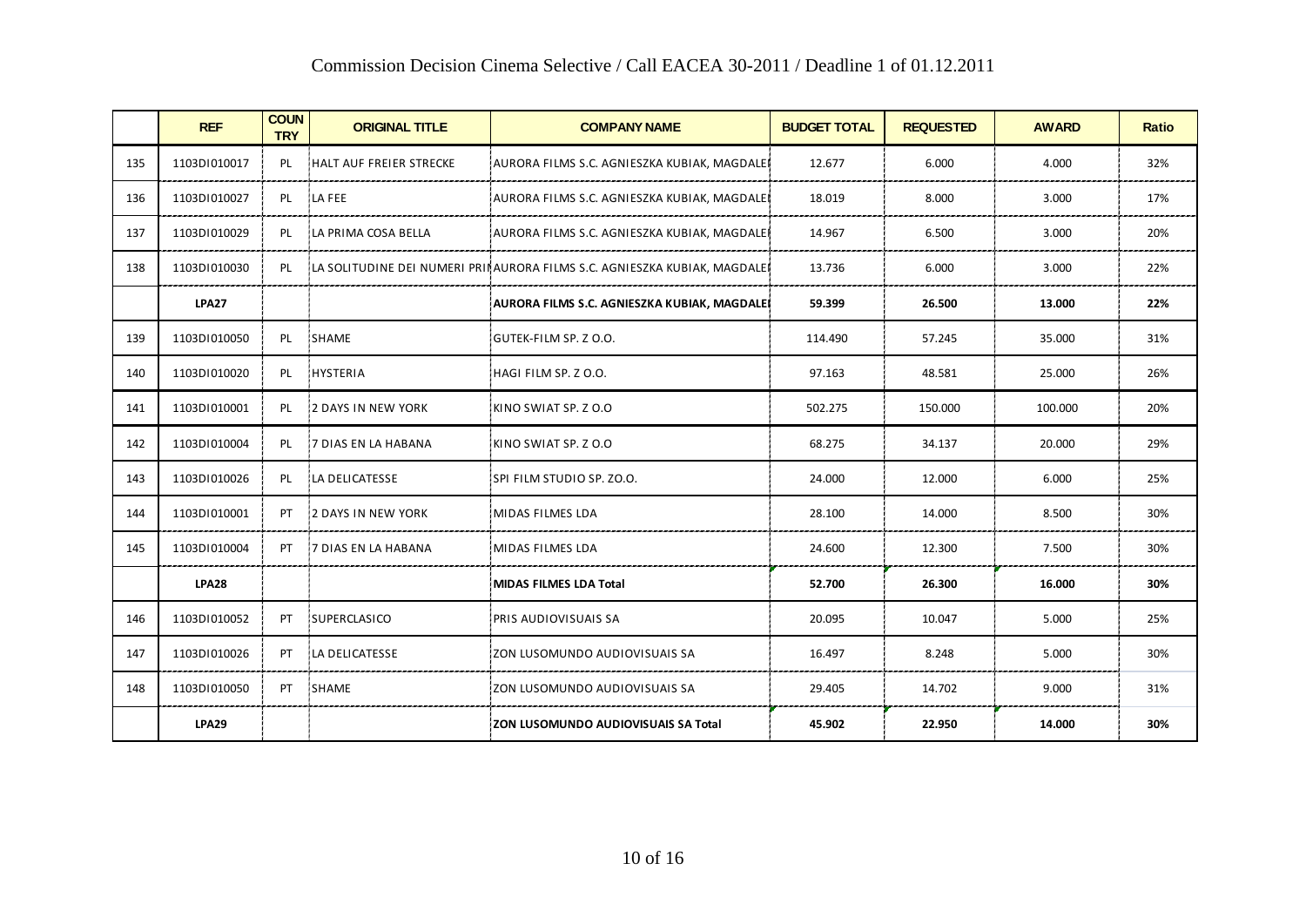|     | <b>REF</b>   | <b>COUN</b><br><b>TRY</b> | <b>ORIGINAL TITLE</b>     | <b>COMPANY NAME</b>                                                      | <b>BUDGET TOTAL</b> | <b>REQUESTED</b> | <b>AWARD</b> | <b>Ratio</b> |
|-----|--------------|---------------------------|---------------------------|--------------------------------------------------------------------------|---------------------|------------------|--------------|--------------|
| 135 | 1103D1010017 | PL                        | HALT AUF FREIER STRECKE   | AURORA FILMS S.C. AGNIESZKA KUBIAK, MAGDALEI                             | 12.677              | 6.000            | 4.000        | 32%          |
| 136 | 1103DI010027 | <b>PL</b>                 | LA FEE                    | AURORA FILMS S.C. AGNIESZKA KUBIAK, MAGDALEI                             | 18.019              | 8.000            | 3.000        | 17%          |
| 137 | 1103DI010029 | PL                        | LA PRIMA COSA BELLA       | AURORA FILMS S.C. AGNIESZKA KUBIAK, MAGDALEI                             | 14.967              | 6.500            | 3.000        | 20%          |
| 138 | 1103DI010030 | <b>PL</b>                 |                           | LA SOLITUDINE DEI NUMERI PRINAURORA FILMS S.C. AGNIESZKA KUBIAK, MAGDALE | 13.736              | 6.000            | 3.000        | 22%          |
|     | <b>LPA27</b> |                           |                           | AURORA FILMS S.C. AGNIESZKA KUBIAK, MAGDALEI                             | 59.399              | 26.500           | 13.000       | 22%          |
| 139 | 1103DI010050 | PL                        | SHAME                     | GUTEK-FILM SP. Z O.O.                                                    | 114.490             | 57.245           | 35.000       | 31%          |
| 140 | 1103DI010020 | PL                        | <b>HYSTERIA</b>           | HAGI FILM SP. Z O.O.                                                     | 97.163              | 48.581           | 25.000       | 26%          |
| 141 | 1103DI010001 | PL                        | I2 DAYS IN NEW YORK       | KINO SWIAT SP. Z O.O                                                     | 502.275             | 150.000          | 100.000      | 20%          |
| 142 | 1103DI010004 | PL                        | I7 DIAS EN LA HABANA      | KINO SWIAT SP. Z O.O                                                     | 68.275              | 34.137           | 20.000       | 29%          |
| 143 | 1103D1010026 | PL                        | LA DELICATESSE            | SPI FILM STUDIO SP. ZO.O.                                                | 24.000              | 12.000           | 6.000        | 25%          |
| 144 | 1103DI010001 | PT                        | <b>2 DAYS IN NEW YORK</b> | MIDAS FILMES LDA                                                         | 28.100              | 14.000           | 8.500        | 30%          |
| 145 | 1103DI010004 | PT                        | 7 DIAS EN LA HABANA       | MIDAS FILMES LDA                                                         | 24.600              | 12.300           | 7.500        | 30%          |
|     | <b>LPA28</b> |                           |                           | MIDAS FILMES LDA Total                                                   | 52.700              | 26.300           | 16.000       | 30%          |
| 146 | 1103DI010052 | PT.                       | SUPERCLASICO              | PRIS AUDIOVISUAIS SA                                                     | 20.095              | 10.047           | 5.000        | 25%          |
| 147 | 1103DI010026 | PT                        | LA DELICATESSE            | ZON LUSOMUNDO AUDIOVISUAIS SA                                            | 16.497              | 8.248            | 5.000        | 30%          |
| 148 | 1103DI010050 | PT                        | SHAME                     | ZON LUSOMUNDO AUDIOVISUAIS SA                                            | 29.405              | 14.702           | 9.000        | 31%          |
|     | <b>LPA29</b> |                           |                           | ZON LUSOMUNDO AUDIOVISUAIS SA Total                                      | 45.902              | 22.950           | 14.000       | 30%          |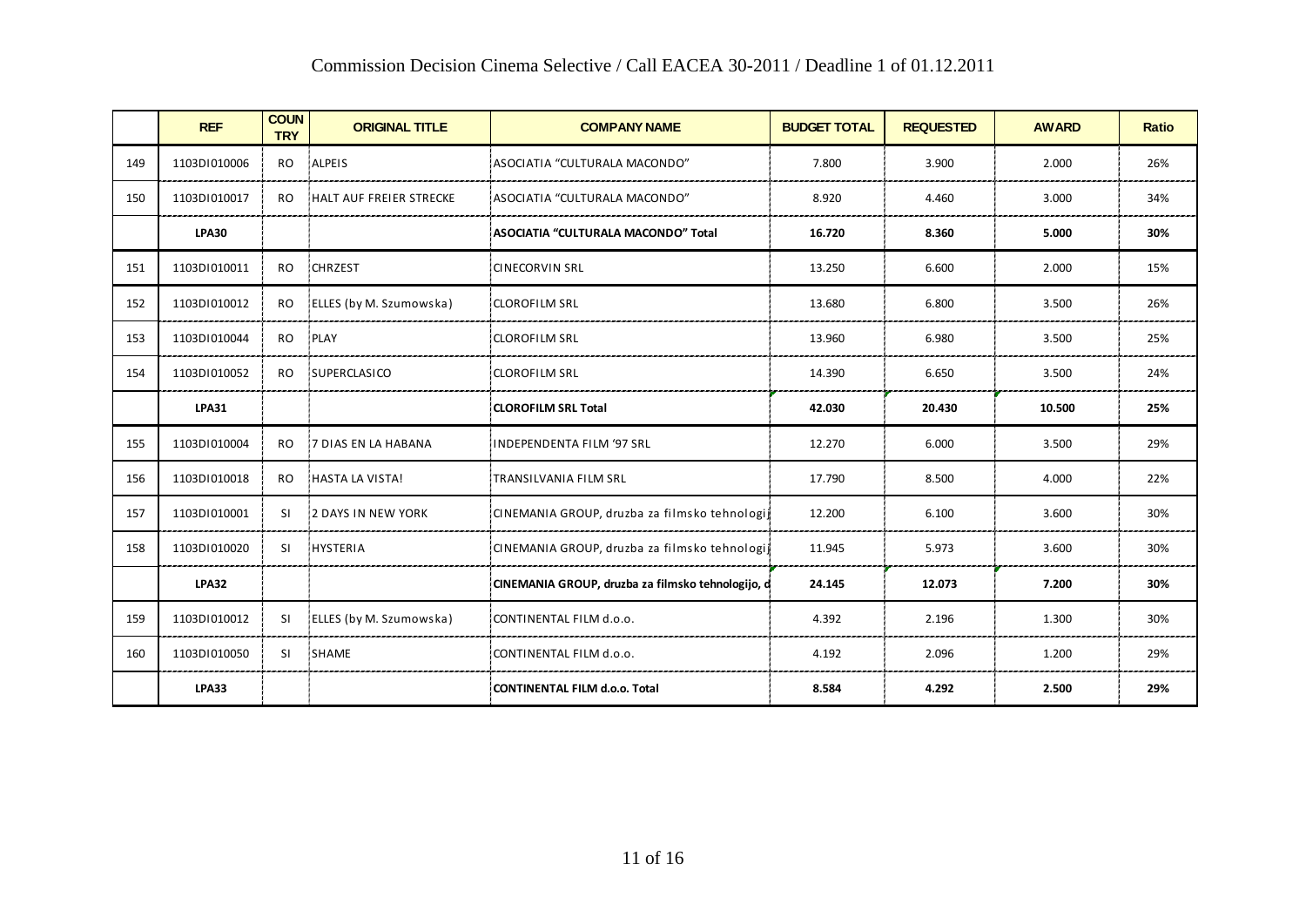|     | COMMISSION DECISION CHIENIA SCIECUVE / CAN EACEA 30-2011 / DEAGHIE 1 OF 01.12.2011 |                           |                         |                                                   |                     |                  |              |              |  |
|-----|------------------------------------------------------------------------------------|---------------------------|-------------------------|---------------------------------------------------|---------------------|------------------|--------------|--------------|--|
|     | <b>REF</b>                                                                         | <b>COUN</b><br><b>TRY</b> | <b>ORIGINAL TITLE</b>   | <b>COMPANY NAME</b>                               | <b>BUDGET TOTAL</b> | <b>REQUESTED</b> | <b>AWARD</b> | <b>Ratio</b> |  |
| 149 | 1103DI010006                                                                       | RO                        | ALPEIS                  | ASOCIATIA "CULTURALA MACONDO"                     | 7.800               | 3.900            | 2.000        | 26%          |  |
| 150 | 1103DI010017                                                                       | RO.                       | HALT AUF FREIER STRECKE | ASOCIATIA "CULTURALA MACONDO"                     | 8.920               | 4.460            | 3.000        | 34%          |  |
|     | <b>LPA30</b>                                                                       |                           |                         | ASOCIATIA "CULTURALA MACONDO" Total               | 16.720              | 8.360            | 5.000        | 30%          |  |
| 151 | 1103DI010011                                                                       | RO.                       | <b>CHRZEST</b>          | <b>CINECORVIN SRL</b>                             | 13.250              | 6.600            | 2.000        | 15%          |  |
| 152 | 1103DI010012                                                                       | RO.                       | ELLES (by M. Szumowska) | CLOROFILM SRL                                     | 13.680              | 6.800            | 3.500        | 26%          |  |
| 153 | 1103DI010044                                                                       | RO.                       | PLAY                    | <b>CLOROFILM SRL</b>                              | 13.960              | 6.980            | 3.500        | 25%          |  |
| 154 | 1103DI010052                                                                       | <b>RO</b>                 | SUPERCLASICO            | <b>CLOROFILM SRL</b>                              | 14.390              | 6.650            | 3.500        | 24%          |  |
|     | <b>LPA31</b>                                                                       |                           |                         | <b>CLOROFILM SRL Total</b>                        | 42.030              | 20.430           | 10.500       | 25%          |  |
| 155 | 1103DI010004                                                                       | <b>RO</b>                 | 7 DIAS EN LA HABANA     | <b>INDEPENDENTA FILM '97 SRL</b>                  | 12.270              | 6.000            | 3.500        | 29%          |  |
| 156 | 1103DI010018                                                                       | RO.                       | HASTA LA VISTA!         | TRANSILVANIA FILM SRL                             | 17.790              | 8.500            | 4.000        | 22%          |  |
| 157 | 1103DI010001                                                                       | SI.                       | 2 DAYS IN NEW YORK      | CINEMANIA GROUP, druzba za filmsko tehnologij     | 12.200              | 6.100            | 3.600        | 30%          |  |
| 158 | 1103DI010020                                                                       | -SI                       | HYSTERIA                | CINEMANIA GROUP, druzba za filmsko tehnologij     | 11.945              | 5.973            | 3.600        | 30%          |  |
|     | <b>LPA32</b>                                                                       |                           |                         | CINEMANIA GROUP, druzba za filmsko tehnologijo, d | 24.145              | 12.073           | 7.200        | 30%          |  |
| 159 | 1103DI010012                                                                       | -SI                       | ELLES (by M. Szumowska) | CONTINENTAL FILM d.o.o.                           | 4.392               | 2.196            | 1.300        | 30%          |  |
| 160 | 1103DI010050                                                                       | SI.                       | SHAME                   | CONTINENTAL FILM d.o.o.                           | 4.192               | 2.096            | 1.200        | 29%          |  |
|     | <b>LPA33</b>                                                                       |                           |                         | CONTINENTAL FILM d.o.o. Total                     | 8.584               | 4.292            | 2.500        | 29%          |  |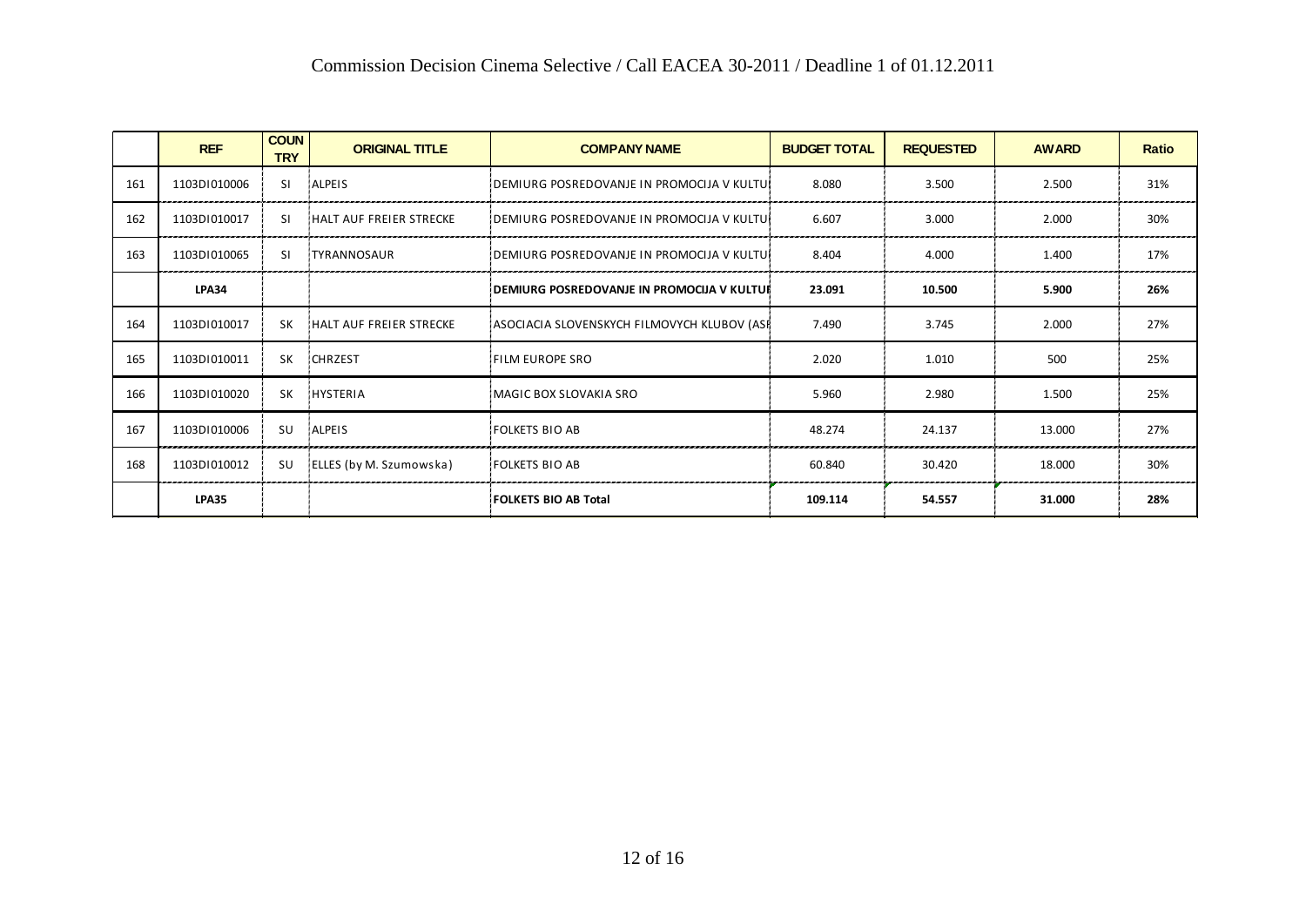|     | <b>REF</b>   | <b>COUN</b><br><b>TRY</b> | <b>ORIGINAL TITLE</b>   | <b>COMPANY NAME</b>                         | <b>BUDGET TOTAL</b> | <b>REQUESTED</b> | <b>AWARD</b> | <b>Ratio</b> |
|-----|--------------|---------------------------|-------------------------|---------------------------------------------|---------------------|------------------|--------------|--------------|
| 161 | 1103D1010006 | SI.                       | <b>ALPEIS</b>           | IDEMIURG POSREDOVANJE IN PROMOCIJA V KULTUI | 8.080               | 3.500            | 2.500        | 31%          |
| 162 | 1103DI010017 | -SI                       | HALT AUF FREIER STRECKE | DEMIURG POSREDOVANJE IN PROMOCIJA V KULTUI  | 6.607               | 3.000            | 2.000        | 30%          |
| 163 | 1103D1010065 | SI.                       | <b>TYRANNOSAUR</b>      | IDEMIURG POSREDOVANJE IN PROMOCIJA V KULTUI | 8.404               | 4.000            | 1.400        | 17%          |
|     | <b>LPA34</b> |                           |                         | DEMIURG POSREDOVANJE IN PROMOCIJA V KULTUR  | 23.091              | 10.500           | 5.900        | 26%          |
| 164 | 1103DI010017 | SK.                       | HALT AUF FREIER STRECKE | ASOCIACIA SLOVENSKYCH FILMOVYCH KLUBOV (ASF | 7.490               | 3.745            | 2.000        | 27%          |
| 165 | 1103D1010011 | <b>SK</b>                 | <b>CHRZEST</b>          | FILM EUROPE SRO                             | 2.020               | 1.010            | 500          | 25%          |
| 166 | 1103DI010020 | SK.                       | <b>HYSTERIA</b>         | MAGIC BOX SLOVAKIA SRO                      | 5.960               | 2.980            | 1.500        | 25%          |
| 167 | 1103DI010006 | <b>SU</b>                 | ALPEIS                  | FOLKETS BIO AB                              | 48.274              | 24.137           | 13.000       | 27%          |
| 168 | 1103D1010012 | SU                        | ELLES (by M. Szumowska) | FOLKETS BIO AB                              | 60.840              | 30.420           | 18.000       | 30%          |
|     | <b>LPA35</b> |                           |                         | FOLKETS BIO AB Total                        | 109.114             | 54.557           | 31.000       | 28%          |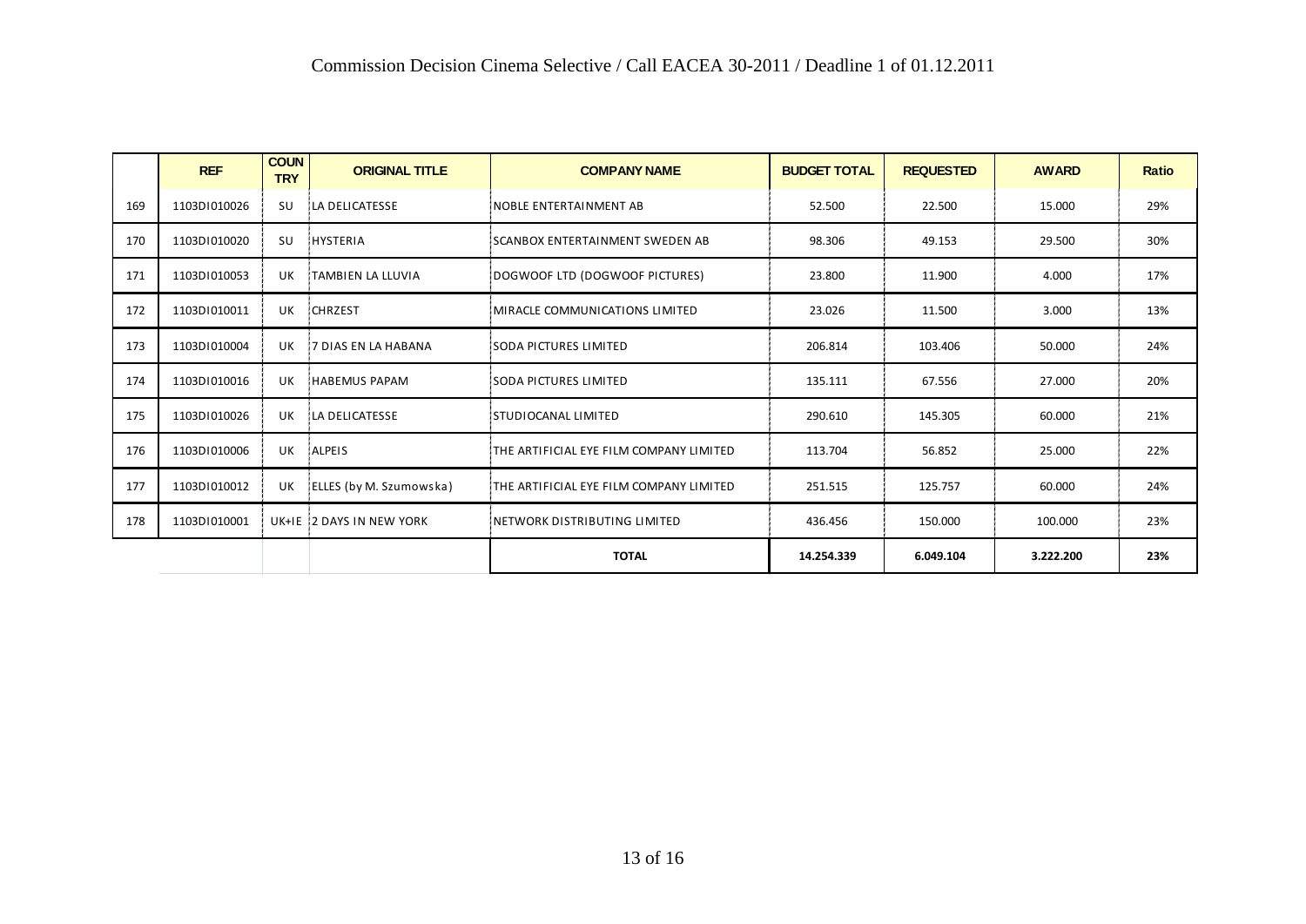|     | <b>REF</b>   | <b>COUN</b><br><b>TRY</b> | <b>ORIGINAL TITLE</b>       | <b>COMPANY NAME</b>                     | <b>BUDGET TOTAL</b> | <b>REQUESTED</b> | <b>AWARD</b> | <b>Ratio</b> |
|-----|--------------|---------------------------|-----------------------------|-----------------------------------------|---------------------|------------------|--------------|--------------|
| 169 | 1103DI010026 | <b>SU</b>                 | LA DELICATESSE              | NOBLE ENTERTAINMENT AB                  | 52.500              | 22.500           | 15.000       | 29%          |
| 170 | 1103DI010020 | <b>SU</b>                 | <b>HYSTERIA</b>             | SCANBOX ENTERTAINMENT SWEDEN AB         | 98.306              | 49.153           | 29.500       | 30%          |
| 171 | 1103D1010053 | UK                        | <b>TAMBIEN LA LLUVIA</b>    | DOGWOOF LTD (DOGWOOF PICTURES)          | 23.800              | 11.900           | 4.000        | 17%          |
| 172 | 1103D1010011 | UK                        | <b>CHRZEST</b>              | MIRACLE COMMUNICATIONS LIMITED          | 23.026              | 11.500           | 3.000        | 13%          |
| 173 | 1103D1010004 | UK                        | <b>17 DIAS EN LA HABANA</b> | SODA PICTURES LIMITED                   | 206.814             | 103.406          | 50.000       | 24%          |
| 174 | 1103D1010016 | UK                        | HABEMUS PAPAM               | SODA PICTURES LIMITED                   | 135.111             | 67.556           | 27.000       | 20%          |
| 175 | 1103D1010026 | UK                        | LA DELICATESSE              | STUDIOCANAL LIMITED                     | 290.610             | 145.305          | 60.000       | 21%          |
| 176 | 1103D1010006 | UK                        | ALPEIS                      | THE ARTIFICIAL EYE FILM COMPANY LIMITED | 113.704             | 56.852           | 25.000       | 22%          |
| 177 | 1103D1010012 | UK                        | ELLES (by M. Szumowska)     | THE ARTIFICIAL EYE FILM COMPANY LIMITED | 251.515             | 125.757          | 60.000       | 24%          |
| 178 | 1103D1010001 |                           | UK+IE 12 DAYS IN NEW YORK   | NETWORK DISTRIBUTING LIMITED            | 436.456             | 150.000          | 100.000      | 23%          |
|     |              |                           |                             | <b>TOTAL</b>                            | 14.254.339          | 6.049.104        | 3.222.200    | 23%          |